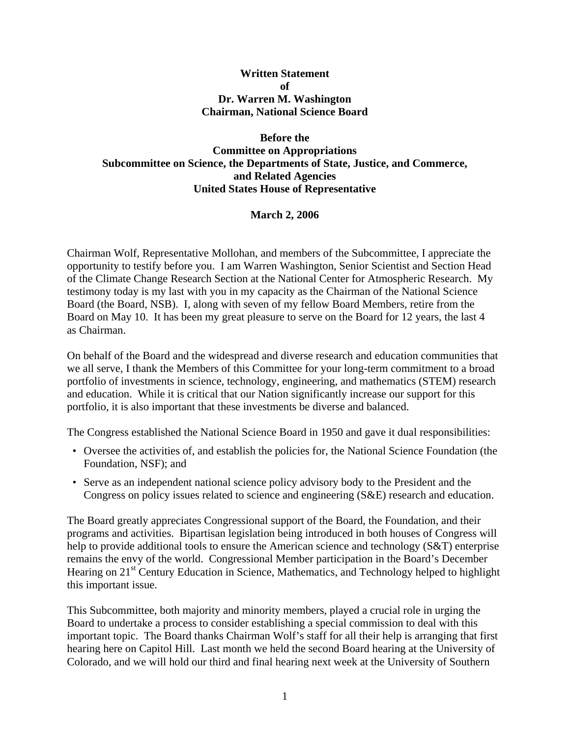#### **Written Statement**   $\mathbf{f}$ **Dr. Warren M. Washington Chairman, National Science Board**

#### **Before the Committee on Appropriations Subcommittee on Science, the Departments of State, Justice, and Commerce, and Related Agencies United States House of Representative**

### **March 2, 2006**

Chairman Wolf, Representative Mollohan, and members of the Subcommittee, I appreciate the opportunity to testify before you. I am Warren Washington, Senior Scientist and Section Head of the Climate Change Research Section at the National Center for Atmospheric Research. My testimony today is my last with you in my capacity as the Chairman of the National Science Board (the Board, NSB). I, along with seven of my fellow Board Members, retire from the Board on May 10. It has been my great pleasure to serve on the Board for 12 years, the last 4 as Chairman.

On behalf of the Board and the widespread and diverse research and education communities that we all serve, I thank the Members of this Committee for your long-term commitment to a broad portfolio of investments in science, technology, engineering, and mathematics (STEM) research and education. While it is critical that our Nation significantly increase our support for this portfolio, it is also important that these investments be diverse and balanced.

The Congress established the National Science Board in 1950 and gave it dual responsibilities:

- Oversee the activities of, and establish the policies for, the National Science Foundation (the Foundation, NSF); and
- Serve as an independent national science policy advisory body to the President and the Congress on policy issues related to science and engineering (S&E) research and education.

The Board greatly appreciates Congressional support of the Board, the Foundation, and their programs and activities. Bipartisan legislation being introduced in both houses of Congress will help to provide additional tools to ensure the American science and technology (S&T) enterprise remains the envy of the world. Congressional Member participation in the Board's December Hearing on 21<sup>st</sup> Century Education in Science, Mathematics, and Technology helped to highlight this important issue.

This Subcommittee, both majority and minority members, played a crucial role in urging the Board to undertake a process to consider establishing a special commission to deal with this important topic. The Board thanks Chairman Wolf's staff for all their help is arranging that first hearing here on Capitol Hill. Last month we held the second Board hearing at the University of Colorado, and we will hold our third and final hearing next week at the University of Southern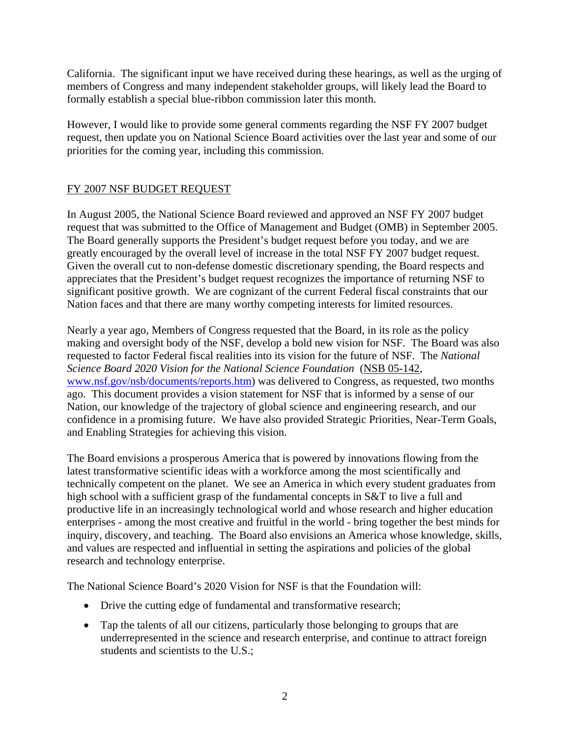California. The significant input we have received during these hearings, as well as the urging of members of Congress and many independent stakeholder groups, will likely lead the Board to formally establish a special blue-ribbon commission later this month.

However, I would like to provide some general comments regarding the NSF FY 2007 budget request, then update you on National Science Board activities over the last year and some of our priorities for the coming year, including this commission.

# FY 2007 NSF BUDGET REQUEST

In August 2005, the National Science Board reviewed and approved an NSF FY 2007 budget request that was submitted to the Office of Management and Budget (OMB) in September 2005. The Board generally supports the President's budget request before you today, and we are greatly encouraged by the overall level of increase in the total NSF FY 2007 budget request. Given the overall cut to non-defense domestic discretionary spending, the Board respects and appreciates that the President's budget request recognizes the importance of returning NSF to significant positive growth. We are cognizant of the current Federal fiscal constraints that our Nation faces and that there are many worthy competing interests for limited resources.

Nearly a year ago, Members of Congress requested that the Board, in its role as the policy making and oversight body of the NSF, develop a bold new vision for NSF. The Board was also requested to factor Federal fiscal realities into its vision for the future of NSF. The *National Science Board 2020 Vision for the National Science Foundation* (NSB 05-142, [www.nsf.gov/nsb/documents/reports.htm](http://www.nsf.gov/nsb/documents/reports.htm)) was delivered to Congress, as requested, two months ago. This document provides a vision statement for NSF that is informed by a sense of our Nation, our knowledge of the trajectory of global science and engineering research, and our confidence in a promising future. We have also provided Strategic Priorities, Near-Term Goals, and Enabling Strategies for achieving this vision.

The Board envisions a prosperous America that is powered by innovations flowing from the latest transformative scientific ideas with a workforce among the most scientifically and technically competent on the planet. We see an America in which every student graduates from high school with a sufficient grasp of the fundamental concepts in S&T to live a full and productive life in an increasingly technological world and whose research and higher education enterprises - among the most creative and fruitful in the world - bring together the best minds for inquiry, discovery, and teaching. The Board also envisions an America whose knowledge, skills, and values are respected and influential in setting the aspirations and policies of the global research and technology enterprise.

The National Science Board's 2020 Vision for NSF is that the Foundation will:

- Drive the cutting edge of fundamental and transformative research;
- Tap the talents of all our citizens, particularly those belonging to groups that are underrepresented in the science and research enterprise, and continue to attract foreign students and scientists to the U.S.;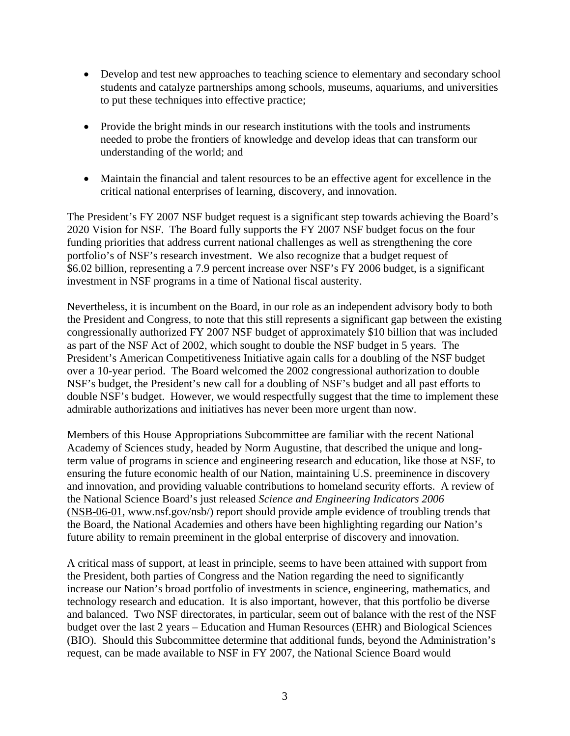- Develop and test new approaches to teaching science to elementary and secondary school students and catalyze partnerships among schools, museums, aquariums, and universities to put these techniques into effective practice;
- Provide the bright minds in our research institutions with the tools and instruments needed to probe the frontiers of knowledge and develop ideas that can transform our understanding of the world; and
- Maintain the financial and talent resources to be an effective agent for excellence in the critical national enterprises of learning, discovery, and innovation.

The President's FY 2007 NSF budget request is a significant step towards achieving the Board's 2020 Vision for NSF. The Board fully supports the FY 2007 NSF budget focus on the four funding priorities that address current national challenges as well as strengthening the core portfolio's of NSF's research investment. We also recognize that a budget request of \$6.02 billion, representing a 7.9 percent increase over NSF's FY 2006 budget, is a significant investment in NSF programs in a time of National fiscal austerity.

Nevertheless, it is incumbent on the Board, in our role as an independent advisory body to both the President and Congress, to note that this still represents a significant gap between the existing congressionally authorized FY 2007 NSF budget of approximately \$10 billion that was included as part of the NSF Act of 2002, which sought to double the NSF budget in 5 years. The President's American Competitiveness Initiative again calls for a doubling of the NSF budget over a 10-year period. The Board welcomed the 2002 congressional authorization to double NSF's budget, the President's new call for a doubling of NSF's budget and all past efforts to double NSF's budget. However, we would respectfully suggest that the time to implement these admirable authorizations and initiatives has never been more urgent than now.

Members of this House Appropriations Subcommittee are familiar with the recent National Academy of Sciences study, headed by Norm Augustine, that described the unique and longterm value of programs in science and engineering research and education, like those at NSF, to ensuring the future economic health of our Nation, maintaining U.S. preeminence in discovery and innovation, and providing valuable contributions to homeland security efforts. A review of the National Science Board's just released *Science and Engineering Indicators 2006*  (NSB-06-01, www.nsf.gov/nsb/) report should provide ample evidence of troubling trends that the Board, the National Academies and others have been highlighting regarding our Nation's future ability to remain preeminent in the global enterprise of discovery and innovation.

A critical mass of support, at least in principle, seems to have been attained with support from the President, both parties of Congress and the Nation regarding the need to significantly increase our Nation's broad portfolio of investments in science, engineering, mathematics, and technology research and education. It is also important, however, that this portfolio be diverse and balanced. Two NSF directorates, in particular, seem out of balance with the rest of the NSF budget over the last 2 years – Education and Human Resources (EHR) and Biological Sciences (BIO). Should this Subcommittee determine that additional funds, beyond the Administration's request, can be made available to NSF in FY 2007, the National Science Board would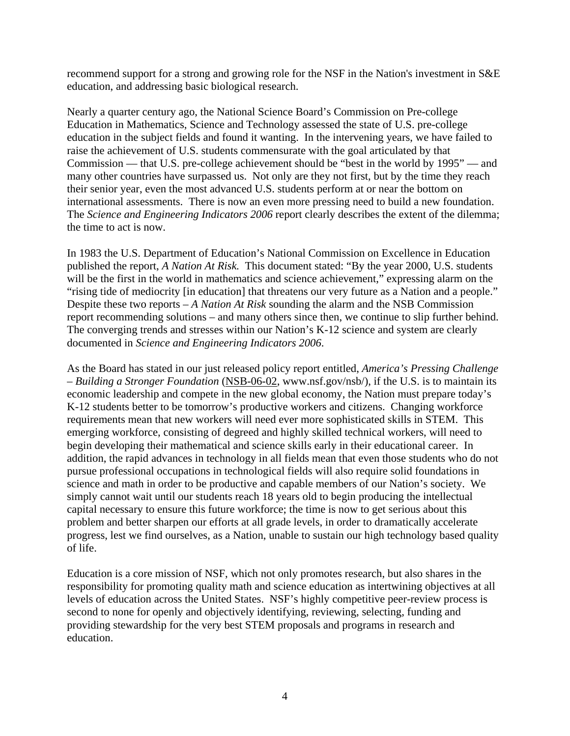recommend support for a strong and growing role for the NSF in the Nation's investment in S&E education, and addressing basic biological research.

Nearly a quarter century ago, the National Science Board's Commission on Pre-college Education in Mathematics, Science and Technology assessed the state of U.S. pre-college education in the subject fields and found it wanting. In the intervening years, we have failed to raise the achievement of U.S. students commensurate with the goal articulated by that Commission — that U.S. pre-college achievement should be "best in the world by 1995" — and many other countries have surpassed us. Not only are they not first, but by the time they reach their senior year, even the most advanced U.S. students perform at or near the bottom on international assessments. There is now an even more pressing need to build a new foundation. The *Science and Engineering Indicators 2006* report clearly describes the extent of the dilemma; the time to act is now.

In 1983 the U.S. Department of Education's National Commission on Excellence in Education published the report, *A Nation At Risk.* This document stated: "By the year 2000, U.S. students will be the first in the world in mathematics and science achievement," expressing alarm on the "rising tide of mediocrity [in education] that threatens our very future as a Nation and a people." Despite these two reports – *A Nation At Risk* sounding the alarm and the NSB Commission report recommending solutions – and many others since then, we continue to slip further behind. The converging trends and stresses within our Nation's K-12 science and system are clearly documented in *Science and Engineering Indicators 2006*.

As the Board has stated in our just released policy report entitled, *America's Pressing Challenge – Building a Stronger Foundation* (NSB-06-02, www.nsf.gov/nsb/), if the U.S. is to maintain its economic leadership and compete in the new global economy, the Nation must prepare today's K-12 students better to be tomorrow's productive workers and citizens. Changing workforce requirements mean that new workers will need ever more sophisticated skills in STEM. This emerging workforce, consisting of degreed and highly skilled technical workers, will need to begin developing their mathematical and science skills early in their educational career. In addition, the rapid advances in technology in all fields mean that even those students who do not pursue professional occupations in technological fields will also require solid foundations in science and math in order to be productive and capable members of our Nation's society. We simply cannot wait until our students reach 18 years old to begin producing the intellectual capital necessary to ensure this future workforce; the time is now to get serious about this problem and better sharpen our efforts at all grade levels, in order to dramatically accelerate progress, lest we find ourselves, as a Nation, unable to sustain our high technology based quality of life.

Education is a core mission of NSF, which not only promotes research, but also shares in the responsibility for promoting quality math and science education as intertwining objectives at all levels of education across the United States. NSF's highly competitive peer-review process is second to none for openly and objectively identifying, reviewing, selecting, funding and providing stewardship for the very best STEM proposals and programs in research and education.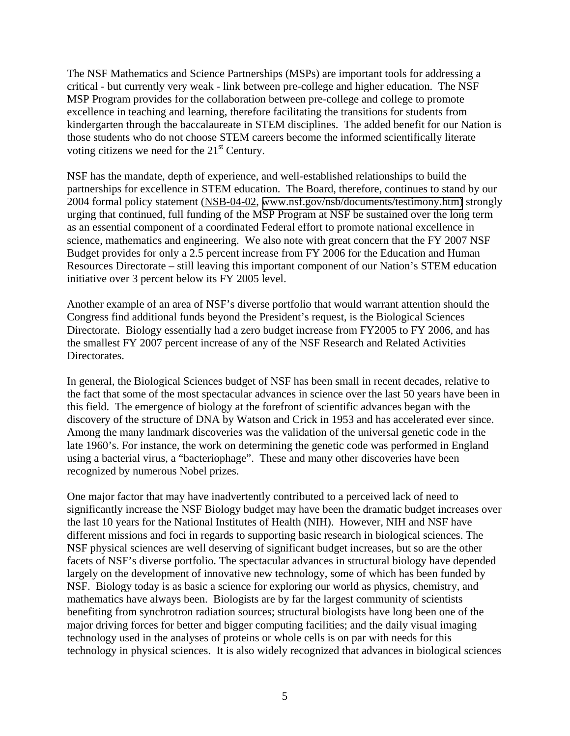The NSF Mathematics and Science Partnerships (MSPs) are important tools for addressing a critical - but currently very weak - link between pre-college and higher education. The NSF MSP Program provides for the collaboration between pre-college and college to promote excellence in teaching and learning, therefore facilitating the transitions for students from kindergarten through the baccalaureate in STEM disciplines. The added benefit for our Nation is those students who do not choose STEM careers become the informed scientifically literate voting citizens we need for the  $21<sup>st</sup>$  Century.

NSF has the mandate, depth of experience, and well-established relationships to build the partnerships for excellence in STEM education. The Board, therefore, continues to stand by our 2004 formal policy statement (NSB-04-02, [www.nsf.gov/nsb/documents/testimony.htm\)](https://www.nsf.gov/nsb/documents/2004/nsb_msp_statement2.pdf) strongly urging that continued, full funding of the MSP Program at NSF be sustained over the long term as an essential component of a coordinated Federal effort to promote national excellence in science, mathematics and engineering. We also note with great concern that the FY 2007 NSF Budget provides for only a 2.5 percent increase from FY 2006 for the Education and Human Resources Directorate – still leaving this important component of our Nation's STEM education initiative over 3 percent below its FY 2005 level.

Another example of an area of NSF's diverse portfolio that would warrant attention should the Congress find additional funds beyond the President's request, is the Biological Sciences Directorate. Biology essentially had a zero budget increase from FY2005 to FY 2006, and has the smallest FY 2007 percent increase of any of the NSF Research and Related Activities Directorates.

In general, the Biological Sciences budget of NSF has been small in recent decades, relative to the fact that some of the most spectacular advances in science over the last 50 years have been in this field. The emergence of biology at the forefront of scientific advances began with the discovery of the structure of DNA by Watson and Crick in 1953 and has accelerated ever since. Among the many landmark discoveries was the validation of the universal genetic code in the late 1960's. For instance, the work on determining the genetic code was performed in England using a bacterial virus, a "bacteriophage". These and many other discoveries have been recognized by numerous Nobel prizes.

One major factor that may have inadvertently contributed to a perceived lack of need to significantly increase the NSF Biology budget may have been the dramatic budget increases over the last 10 years for the National Institutes of Health (NIH). However, NIH and NSF have different missions and foci in regards to supporting basic research in biological sciences. The NSF physical sciences are well deserving of significant budget increases, but so are the other facets of NSF's diverse portfolio. The spectacular advances in structural biology have depended largely on the development of innovative new technology, some of which has been funded by NSF. Biology today is as basic a science for exploring our world as physics, chemistry, and mathematics have always been. Biologists are by far the largest community of scientists benefiting from synchrotron radiation sources; structural biologists have long been one of the major driving forces for better and bigger computing facilities; and the daily visual imaging technology used in the analyses of proteins or whole cells is on par with needs for this technology in physical sciences. It is also widely recognized that advances in biological sciences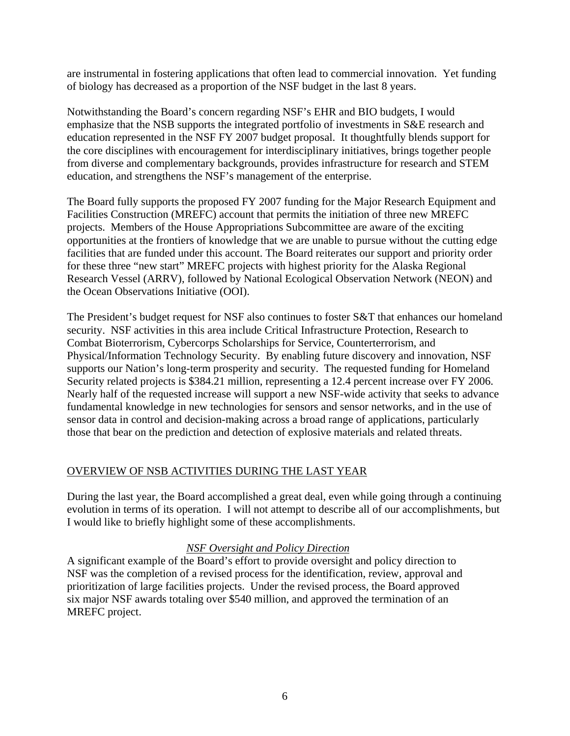are instrumental in fostering applications that often lead to commercial innovation. Yet funding of biology has decreased as a proportion of the NSF budget in the last 8 years.

Notwithstanding the Board's concern regarding NSF's EHR and BIO budgets, I would emphasize that the NSB supports the integrated portfolio of investments in S&E research and education represented in the NSF FY 2007 budget proposal. It thoughtfully blends support for the core disciplines with encouragement for interdisciplinary initiatives, brings together people from diverse and complementary backgrounds, provides infrastructure for research and STEM education, and strengthens the NSF's management of the enterprise.

The Board fully supports the proposed FY 2007 funding for the Major Research Equipment and Facilities Construction (MREFC) account that permits the initiation of three new MREFC projects. Members of the House Appropriations Subcommittee are aware of the exciting opportunities at the frontiers of knowledge that we are unable to pursue without the cutting edge facilities that are funded under this account. The Board reiterates our support and priority order for these three "new start" MREFC projects with highest priority for the Alaska Regional Research Vessel (ARRV), followed by National Ecological Observation Network (NEON) and the Ocean Observations Initiative (OOI).

The President's budget request for NSF also continues to foster S&T that enhances our homeland security. NSF activities in this area include Critical Infrastructure Protection, Research to Combat Bioterrorism, Cybercorps Scholarships for Service, Counterterrorism, and Physical/Information Technology Security. By enabling future discovery and innovation, NSF supports our Nation's long-term prosperity and security. The requested funding for Homeland Security related projects is \$384.21 million, representing a 12.4 percent increase over FY 2006. Nearly half of the requested increase will support a new NSF-wide activity that seeks to advance fundamental knowledge in new technologies for sensors and sensor networks, and in the use of sensor data in control and decision-making across a broad range of applications, particularly those that bear on the prediction and detection of explosive materials and related threats.

# OVERVIEW OF NSB ACTIVITIES DURING THE LAST YEAR

During the last year, the Board accomplished a great deal, even while going through a continuing evolution in terms of its operation. I will not attempt to describe all of our accomplishments, but I would like to briefly highlight some of these accomplishments.

### *NSF Oversight and Policy Direction*

A significant example of the Board's effort to provide oversight and policy direction to NSF was the completion of a revised process for the identification, review, approval and prioritization of large facilities projects. Under the revised process, the Board approved six major NSF awards totaling over \$540 million, and approved the termination of an MREFC project.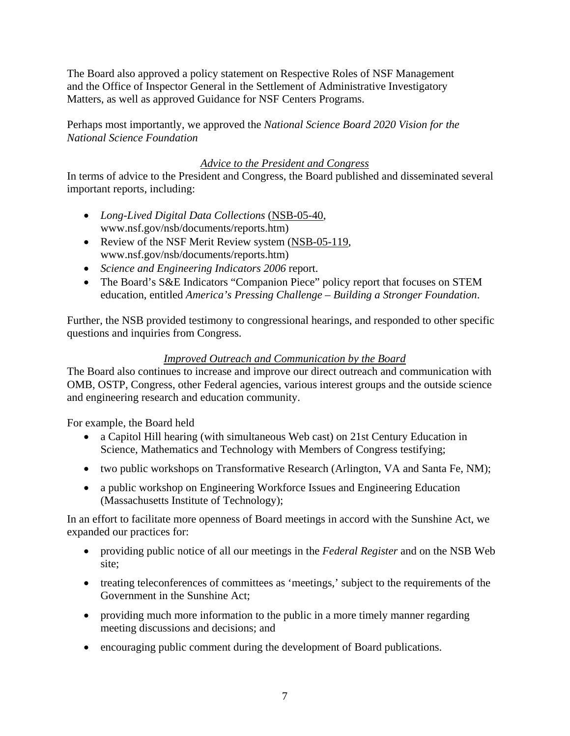The Board also approved a policy statement on Respective Roles of NSF Management and the Office of Inspector General in the Settlement of Administrative Investigatory Matters, as well as approved Guidance for NSF Centers Programs.

Perhaps most importantly, we approved the *National Science Board 2020 Vision for the National Science Foundation*

### *Advice to the President and Congress*

In terms of advice to the President and Congress, the Board published and disseminated several important reports, including:

- *Long-Lived Digital Data Collections* (NSB-05-40, www.nsf.gov/nsb/documents/reports.htm)
- Review of the NSF Merit Review system (NSB-05-119, www.nsf.gov/nsb/documents/reports.htm)
- *Science and Engineering Indicators 2006* report.
- The Board's S&E Indicators "Companion Piece" policy report that focuses on STEM education, entitled *America's Pressing Challenge – Building a Stronger Foundation*.

Further, the NSB provided testimony to congressional hearings, and responded to other specific questions and inquiries from Congress.

# *Improved Outreach and Communication by the Board*

The Board also continues to increase and improve our direct outreach and communication with OMB, OSTP, Congress, other Federal agencies, various interest groups and the outside science and engineering research and education community.

For example, the Board held

- a Capitol Hill hearing (with simultaneous Web cast) on 21st Century Education in Science, Mathematics and Technology with Members of Congress testifying;
- two public workshops on Transformative Research (Arlington, VA and Santa Fe, NM);
- a public workshop on Engineering Workforce Issues and Engineering Education (Massachusetts Institute of Technology);

In an effort to facilitate more openness of Board meetings in accord with the Sunshine Act, we expanded our practices for:

- providing public notice of all our meetings in the *Federal Register* and on the NSB Web site;
- treating teleconferences of committees as 'meetings,' subject to the requirements of the Government in the Sunshine Act;
- providing much more information to the public in a more timely manner regarding meeting discussions and decisions; and
- encouraging public comment during the development of Board publications.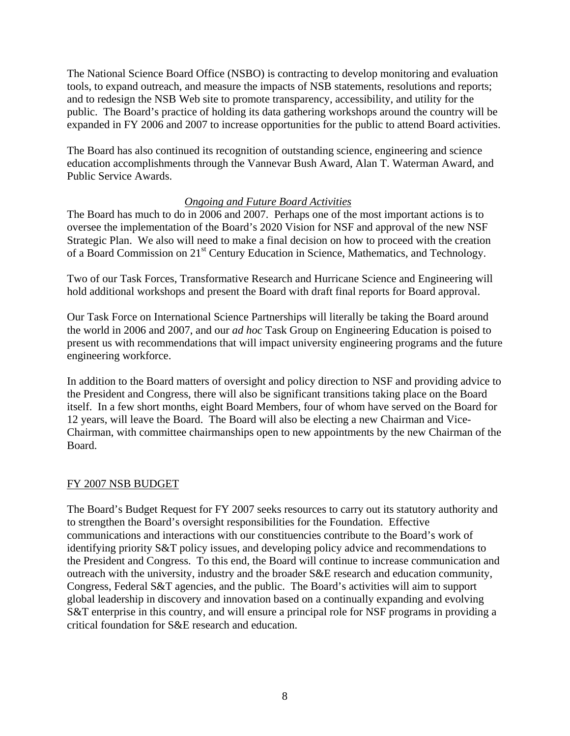The National Science Board Office (NSBO) is contracting to develop monitoring and evaluation tools, to expand outreach, and measure the impacts of NSB statements, resolutions and reports; and to redesign the NSB Web site to promote transparency, accessibility, and utility for the public. The Board's practice of holding its data gathering workshops around the country will be expanded in FY 2006 and 2007 to increase opportunities for the public to attend Board activities.

The Board has also continued its recognition of outstanding science, engineering and science education accomplishments through the Vannevar Bush Award, Alan T. Waterman Award, and Public Service Awards.

#### *Ongoing and Future Board Activities*

The Board has much to do in 2006 and 2007. Perhaps one of the most important actions is to oversee the implementation of the Board's 2020 Vision for NSF and approval of the new NSF Strategic Plan. We also will need to make a final decision on how to proceed with the creation of a Board Commission on 21<sup>st</sup> Century Education in Science, Mathematics, and Technology.

Two of our Task Forces, Transformative Research and Hurricane Science and Engineering will hold additional workshops and present the Board with draft final reports for Board approval.

Our Task Force on International Science Partnerships will literally be taking the Board around the world in 2006 and 2007, and our *ad hoc* Task Group on Engineering Education is poised to present us with recommendations that will impact university engineering programs and the future engineering workforce.

In addition to the Board matters of oversight and policy direction to NSF and providing advice to the President and Congress, there will also be significant transitions taking place on the Board itself. In a few short months, eight Board Members, four of whom have served on the Board for 12 years, will leave the Board. The Board will also be electing a new Chairman and Vice-Chairman, with committee chairmanships open to new appointments by the new Chairman of the Board.

#### FY 2007 NSB BUDGET

The Board's Budget Request for FY 2007 seeks resources to carry out its statutory authority and to strengthen the Board's oversight responsibilities for the Foundation. Effective communications and interactions with our constituencies contribute to the Board's work of identifying priority S&T policy issues, and developing policy advice and recommendations to the President and Congress. To this end, the Board will continue to increase communication and outreach with the university, industry and the broader S&E research and education community, Congress, Federal S&T agencies, and the public. The Board's activities will aim to support global leadership in discovery and innovation based on a continually expanding and evolving S&T enterprise in this country, and will ensure a principal role for NSF programs in providing a critical foundation for S&E research and education.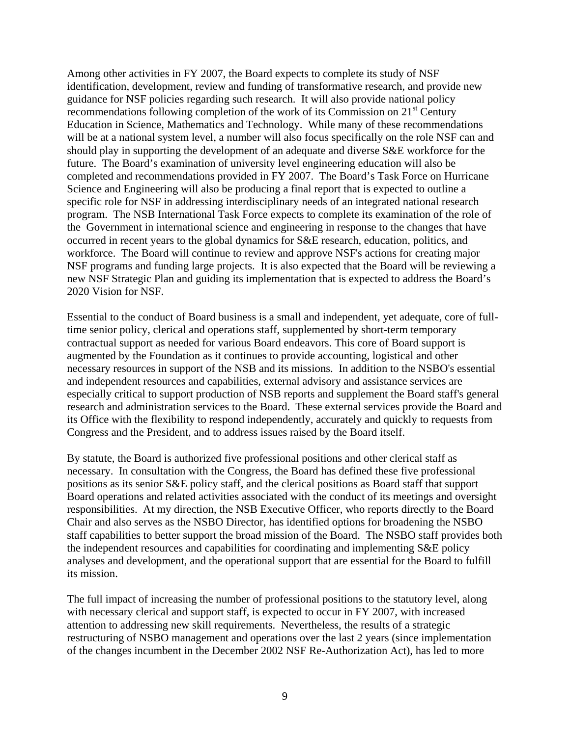Among other activities in FY 2007, the Board expects to complete its study of NSF identification, development, review and funding of transformative research, and provide new guidance for NSF policies regarding such research. It will also provide national policy recommendations following completion of the work of its Commission on  $21<sup>st</sup>$  Century Education in Science, Mathematics and Technology. While many of these recommendations will be at a national system level, a number will also focus specifically on the role NSF can and should play in supporting the development of an adequate and diverse S&E workforce for the future. The Board's examination of university level engineering education will also be completed and recommendations provided in FY 2007. The Board's Task Force on Hurricane Science and Engineering will also be producing a final report that is expected to outline a specific role for NSF in addressing interdisciplinary needs of an integrated national research program. The NSB International Task Force expects to complete its examination of the role of the Government in international science and engineering in response to the changes that have occurred in recent years to the global dynamics for S&E research, education, politics, and workforce. The Board will continue to review and approve NSF's actions for creating major NSF programs and funding large projects. It is also expected that the Board will be reviewing a new NSF Strategic Plan and guiding its implementation that is expected to address the Board's 2020 Vision for NSF.

Essential to the conduct of Board business is a small and independent, yet adequate, core of fulltime senior policy, clerical and operations staff, supplemented by short-term temporary contractual support as needed for various Board endeavors. This core of Board support is augmented by the Foundation as it continues to provide accounting, logistical and other necessary resources in support of the NSB and its missions. In addition to the NSBO's essential and independent resources and capabilities, external advisory and assistance services are especially critical to support production of NSB reports and supplement the Board staff's general research and administration services to the Board. These external services provide the Board and its Office with the flexibility to respond independently, accurately and quickly to requests from Congress and the President, and to address issues raised by the Board itself.

By statute, the Board is authorized five professional positions and other clerical staff as necessary. In consultation with the Congress, the Board has defined these five professional positions as its senior S&E policy staff, and the clerical positions as Board staff that support Board operations and related activities associated with the conduct of its meetings and oversight responsibilities. At my direction, the NSB Executive Officer, who reports directly to the Board Chair and also serves as the NSBO Director, has identified options for broadening the NSBO staff capabilities to better support the broad mission of the Board. The NSBO staff provides both the independent resources and capabilities for coordinating and implementing S&E policy analyses and development, and the operational support that are essential for the Board to fulfill its mission.

The full impact of increasing the number of professional positions to the statutory level, along with necessary clerical and support staff, is expected to occur in FY 2007, with increased attention to addressing new skill requirements. Nevertheless, the results of a strategic restructuring of NSBO management and operations over the last 2 years (since implementation of the changes incumbent in the December 2002 NSF Re-Authorization Act), has led to more